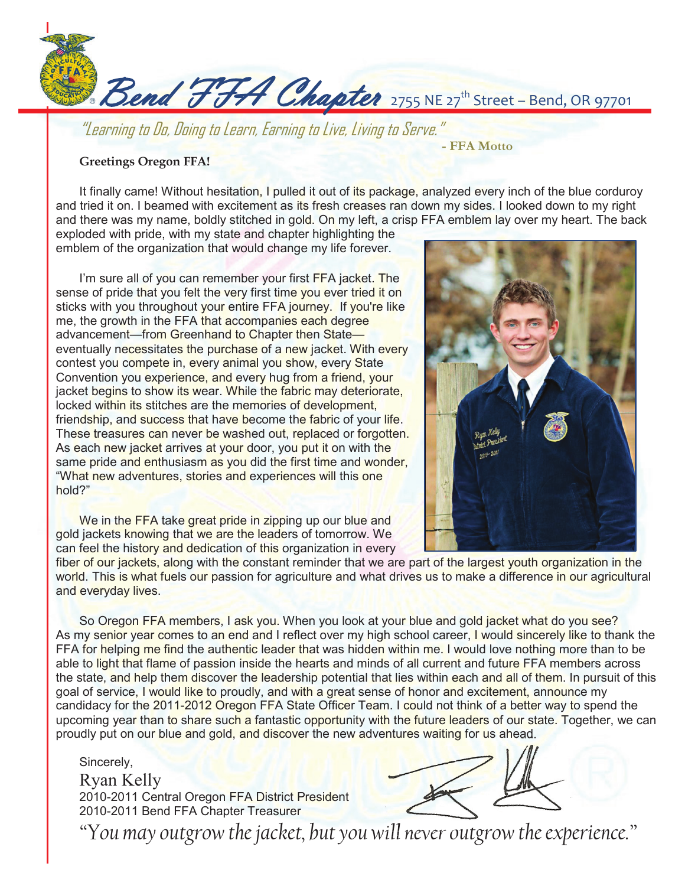

"Learning to Do, Doing to Learn, Earning to Live, Living to Serve."

## **Greetings Oregon FFA!**

It finally came! Without hesitation, I pulled it out of its package, analyzed every inch of the blue corduroy and tried it on. I beamed with excitement as its fresh creases ran down my sides. I looked down to my right and there was my name, boldly stitched in gold. On my left, a crisp FFA emblem lay over my heart. The back

exploded with pride, with my state and chapter highlighting the emblem of the organization that would change my life forever.

I'm sure all of you can remember your first FFA jacket. The sense of pride that you felt the very first time you ever tried it on sticks with you throughout your entire FFA journey. If you're like me, the growth in the FFA that accompanies each degree advancement—from Greenhand to Chapter then State eventually necessitates the purchase of a new jacket. With every contest you compete in, every animal you show, every State Convention you experience, and every hug from a friend, your jacket begins to show its wear. While the fabric may deteriorate, locked within its stitches are the memories of development, friendship, and success that have become the fabric of your life. These treasures can never be washed out, replaced or forgotten. As each new jacket arrives at your door, you put it on with the same pride and enthusiasm as you did the first time and wonder, "What new adventures, stories and experiences will this one hold?"

We in the FFA take great pride in zipping up our blue and gold jackets knowing that we are the leaders of tomorrow. We can feel the history and dedication of this organization in every



**- FFA Motto** 

fiber of our jackets, along with the constant reminder that we are part of the largest youth organization in the world. This is what fuels our passion for agriculture and what drives us to make a difference in our agricultural and everyday lives.

So Oregon FFA members, I ask you. When you look at your blue and gold jacket what do you see? As my senior year comes to an end and I reflect over my high school career, I would sincerely like to thank the FFA for helping me find the authentic leader that was hidden within me. I would love nothing more than to be able to light that flame of passion inside the hearts and minds of all current and future FFA members across the state, and help them discover the leadership potential that lies within each and all of them. In pursuit of this goal of service, I would like to proudly, and with a great sense of honor and excitement, announce my candidacy for the 2011-2012 Oregon FFA State Officer Team. I could not think of a better way to spend the upcoming year than to share such a fantastic opportunity with the future leaders of our state. Together, we can proudly put on our blue and gold, and discover the new adventures waiting for us ahead.

Sincerely, Ryan Kelly 2010-2011 Central Oregon FFA District President 2010-2011 Bend FFA Chapter Treasurer

*"You may outgrow the jacket, but you will never outgrow the experience." experience."*